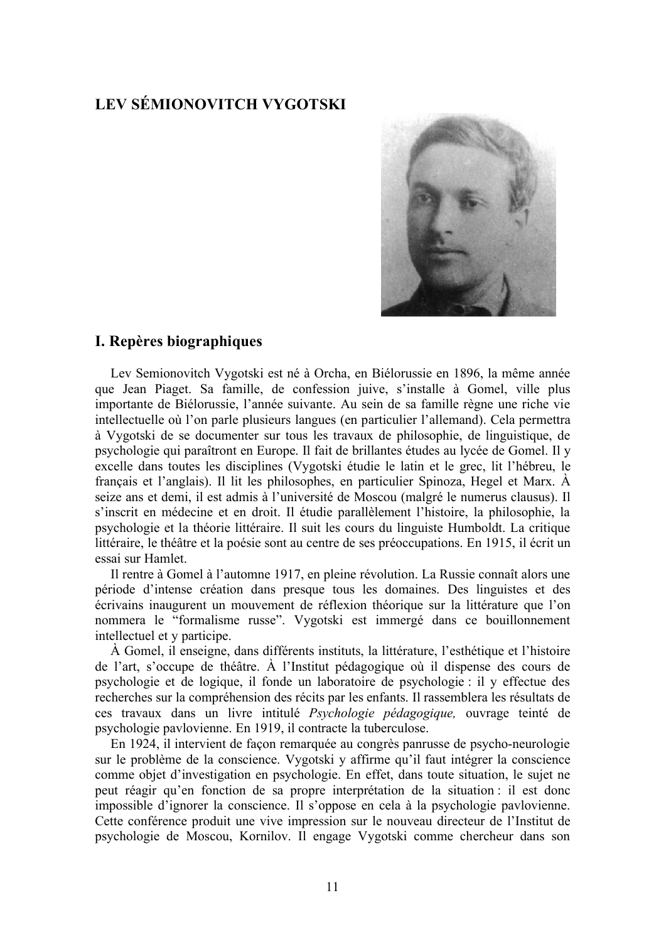# **LEV SÉMIONOVITCH VYGOTSKI**



### I. Repères biographiques

Lev Semionovitch Vygotski est né à Orcha, en Biélorussie en 1896, la même année que Jean Piaget. Sa famille, de confession juive, s'installe à Gomel, ville plus importante de Biélorussie, l'année suivante. Au sein de sa famille règne une riche vie intellectuelle où l'on parle plusieurs langues (en particulier l'allemand). Cela permettra à Vygotski de se documenter sur tous les travaux de philosophie, de linguistique, de psychologie qui paraîtront en Europe. Il fait de brillantes études au lycée de Gomel. Il y excelle dans toutes les disciplines (Vygotski étudie le latin et le grec, lit l'hébreu, le français et l'anglais). Il lit les philosophes, en particulier Spinoza, Hegel et Marx.  $\hat{A}$ seize ans et demi, il est admis à l'université de Moscou (malgré le numerus clausus). Il s'inscrit en médecine et en droit. Il étudie parallèlement l'histoire, la philosophie, la psychologie et la théorie littéraire. Il suit les cours du linguiste Humboldt. La critique littéraire, le théâtre et la poésie sont au centre de ses préoccupations. En 1915, il écrit un essai sur Hamlet

Il rentre à Gomel à l'automne 1917, en pleine révolution. La Russie connaît alors une période d'intense création dans presque tous les domaines. Des linguistes et des écrivains inaugurent un mouvement de réflexion théorique sur la littérature que l'on nommera le "formalisme russe". Vygotski est immergé dans ce bouillonnement intellectuel et y participe.

À Gomel, il enseigne, dans différents instituts, la littérature, l'esthétique et l'histoire de l'art, s'occupe de théâtre. À l'Institut pédagogique où il dispense des cours de psychologie et de logique, il fonde un laboratoire de psychologie : il y effectue des recherches sur la compréhension des récits par les enfants. Il rassemblera les résultats de ces travaux dans un livre intitulé *Psychologie pédagogique*, ouvrage teinté de psychologie pavlovienne. En 1919, il contracte la tuberculose.

En 1924, il intervient de façon remarquée au congrès panrusse de psycho-neurologie sur le problème de la conscience. Vygotski y affirme qu'il faut intégrer la conscience comme objet d'investigation en psychologie. En effet, dans toute situation, le sujet ne peut réagir qu'en fonction de sa propre interprétation de la situation : il est donc impossible d'ignorer la conscience. Il s'oppose en cela à la psychologie pavlovienne. Cette conférence produit une vive impression sur le nouveau directeur de l'Institut de psychologie de Moscou, Kornilov. Il engage Vygotski comme chercheur dans son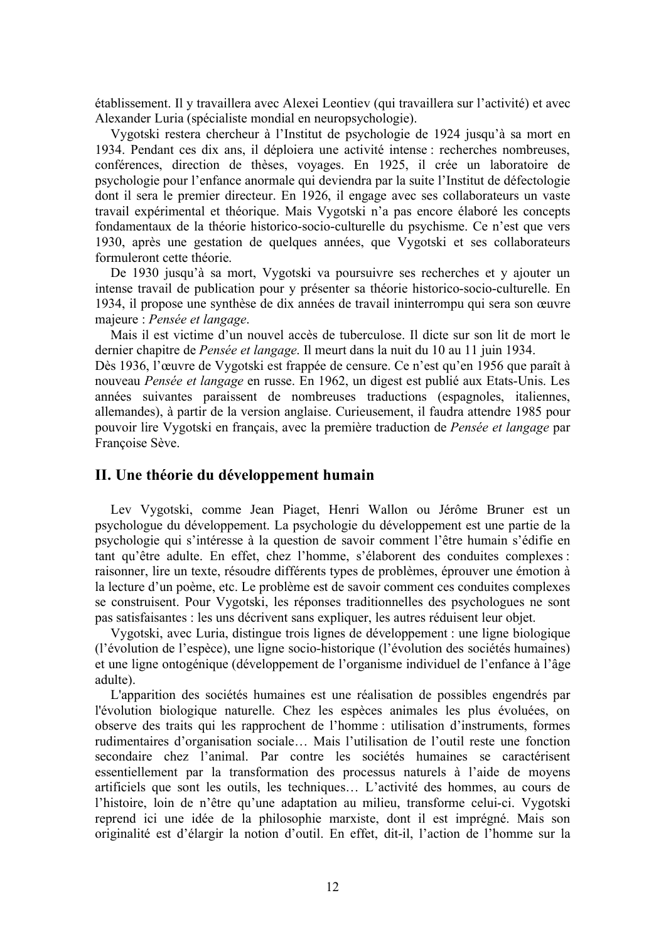établissement. Il y travaillera avec Alexei Leontiev (qui travaillera sur l'activité) et avec Alexander Luria (spécialiste mondial en neuropsychologie).

Vygotski restera chercheur à l'Institut de psychologie de 1924 jusqu'à sa mort en 1934. Pendant ces dix ans, il déploiera une activité intense : recherches nombreuses, conférences, direction de thèses, voyages. En 1925, il crée un laboratoire de psychologie pour l'enfance anormale qui deviendra par la suite l'Institut de défectologie dont il sera le premier directeur. En 1926, il engage avec ses collaborateurs un vaste travail expérimental et théorique. Mais Vygotski n'a pas encore élaboré les concepts fondamentaux de la théorie historico-socio-culturelle du psychisme. Ce n'est que vers 1930, après une gestation de quelques années, que Vygotski et ses collaborateurs formuleront cette théorie.

De 1930 jusqu'à sa mort, Vygotski va poursuivre ses recherches et y ajouter un intense travail de publication pour y présenter sa théorie historico-socio-culturelle. En 1934, il propose une synthèse de dix années de travail ininterrompu qui sera son œuvre majeure : Pensée et langage.

Mais il est victime d'un nouvel accès de tuberculose. Il dicte sur son lit de mort le dernier chapitre de Pensée et langage. Il meurt dans la nuit du 10 au 11 juin 1934.

Dès 1936, l'œuvre de Vygotski est frappée de censure. Ce n'est qu'en 1956 que paraît à nouveau Pensée et langage en russe. En 1962, un digest est publié aux Etats-Unis. Les années suivantes paraissent de nombreuses traductions (espagnoles, italiennes, allemandes), à partir de la version anglaise. Curieusement, il faudra attendre 1985 pour pouvoir lire Vygotski en français, avec la première traduction de Pensée et langage par Françoise Sève.

#### II. Une théorie du développement humain

Lev Vygotski, comme Jean Piaget, Henri Wallon ou Jérôme Bruner est un psychologue du développement. La psychologie du développement est une partie de la psychologie qui s'intéresse à la question de savoir comment l'être humain s'édifie en tant qu'être adulte. En effet, chez l'homme, s'élaborent des conduites complexes : raisonner, lire un texte, résoudre différents types de problèmes, éprouver une émotion à la lecture d'un poème, etc. Le problème est de savoir comment ces conduites complexes se construisent. Pour Vygotski, les réponses traditionnelles des psychologues ne sont pas satisfaisantes : les uns décrivent sans expliquer, les autres réduisent leur objet.

Vygotski, avec Luria, distingue trois lignes de développement : une ligne biologique (l'évolution de l'espèce), une ligne socio-historique (l'évolution des sociétés humaines) et une ligne ontogénique (développement de l'organisme individuel de l'enfance à l'âge adulte).

L'apparition des sociétés humaines est une réalisation de possibles engendrés par l'évolution biologique naturelle. Chez les espèces animales les plus évoluées, on observe des traits qui les rapprochent de l'homme : utilisation d'instruments, formes rudimentaires d'organisation sociale... Mais l'utilisation de l'outil reste une fonction secondaire chez l'animal Par contre les sociétés humaines se caractérisent essentiellement par la transformation des processus naturels à l'aide de moyens artificiels que sont les outils, les techniques... L'activité des hommes, au cours de l'histoire, loin de n'être qu'une adaptation au milieu, transforme celui-ci. Vygotski reprend ici une idée de la philosophie marxiste, dont il est imprégné. Mais son originalité est d'élargir la notion d'outil. En effet, dit-il, l'action de l'homme sur la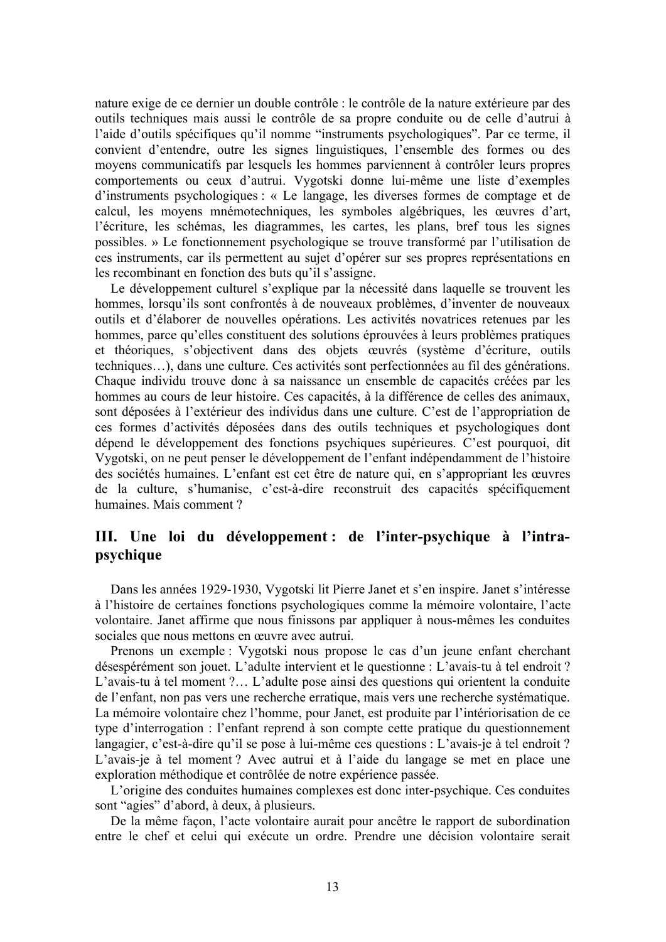nature exige de ce dernier un double contrôle : le contrôle de la nature extérieure par des outils techniques mais aussi le contrôle de sa propre conduite ou de celle d'autrui à l'aide d'outils spécifiques qu'il nomme "instruments psychologiques". Par ce terme, il convient d'entendre, outre les signes linguistiques, l'ensemble des formes ou des moyens communicatifs par lesquels les hommes parviennent à contrôler leurs propres comportements ou ceux d'autrui. Vygotski donne lui-même une liste d'exemples d'instruments psychologiques : « Le langage, les diverses formes de comptage et de calcul, les moyens mnémotechniques, les symboles algébriques, les œuvres d'art, l'écriture, les schémas, les diagrammes, les cartes, les plans, bref tous les signes possibles. » Le fonctionnement psychologique se trouve transformé par l'utilisation de ces instruments, car ils permettent au sujet d'opérer sur ses propres représentations en les recombinant en fonction des buts qu'il s'assigne.

Le développement culturel s'explique par la nécessité dans laquelle se trouvent les hommes, lorsqu'ils sont confrontés à de nouveaux problèmes, d'inventer de nouveaux outils et d'élaborer de nouvelles opérations. Les activités novatrices retenues par les hommes, parce qu'elles constituent des solutions éprouvées à leurs problèmes pratiques et théoriques, s'objectivent dans des objets œuvrés (système d'écriture, outils techniques...), dans une culture. Ces activités sont perfectionnées au fil des générations. Chaque individu trouve donc à sa naissance un ensemble de capacités créées par les hommes au cours de leur histoire. Ces capacités, à la différence de celles des animaux, sont déposées à l'extérieur des individus dans une culture. C'est de l'appropriation de ces formes d'activités déposées dans des outils techniques et psychologiques dont dépend le développement des fonctions psychiques supérieures. C'est pourquoi, dit Vygotski, on ne peut penser le développement de l'enfant indépendamment de l'histoire des sociétés humaines. L'enfant est cet être de nature qui, en s'appropriant les œuvres de la culture, s'humanise, c'est-à-dire reconstruit des capacités spécifiquement humaines. Mais comment?

# III. Une loi du développement : de l'inter-psychique à l'intrapsychique

Dans les années 1929-1930, Vygotski lit Pierre Janet et s'en inspire. Janet s'intéresse à l'histoire de certaines fonctions psychologiques comme la mémoire volontaire, l'acte volontaire. Janet affirme que nous finissons par appliquer à nous-mêmes les conduites sociales que nous mettons en œuvre avec autrui.

Prenons un exemple : Vygotski nous propose le cas d'un jeune enfant cherchant désespérément son jouet. L'adulte intervient et le questionne : L'avais-tu à tel endroit ? L'avais-tu à tel moment ?... L'adulte pose ainsi des questions qui orientent la conduite de l'enfant, non pas vers une recherche erratique, mais vers une recherche systématique. La mémoire volontaire chez l'homme, pour Janet, est produite par l'intériorisation de ce type d'interrogation : l'enfant reprend à son compte cette pratique du questionnement langagier, c'est-à-dire qu'il se pose à lui-même ces questions : L'avais-je à tel endroit ? L'avais-je à tel moment? Avec autrui et à l'aide du langage se met en place une exploration méthodique et contrôlée de notre expérience passée.

L'origine des conduites humaines complexes est donc inter-psychique. Ces conduites sont "agies" d'abord, à deux, à plusieurs.

De la même façon, l'acte volontaire aurait pour ancêtre le rapport de subordination entre le chef et celui qui exécute un ordre. Prendre une décision volontaire serait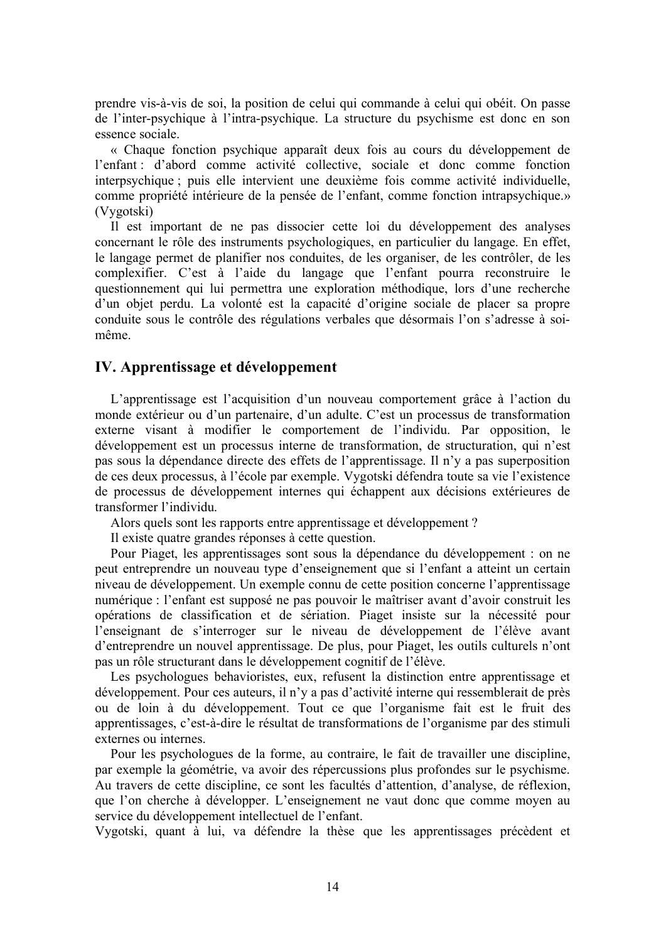prendre vis-à-vis de soi, la position de celui qui commande à celui qui obéit. On passe de l'inter-psychique à l'intra-psychique. La structure du psychisme est donc en son essence sociale.

« Chaque fonction psychique apparaît deux fois au cours du développement de l'enfant : d'abord comme activité collective, sociale et donc comme fonction interpsychique ; puis elle intervient une deuxième fois comme activité individuelle, comme propriété intérieure de la pensée de l'enfant, comme fonction intrapsychique.» (Vygotski)

Il est important de ne pas dissocier cette loi du développement des analyses concernant le rôle des instruments psychologiques, en particulier du langage. En effet, le langage permet de planifier nos conduites, de les organiser, de les contrôler, de les complexifier. C'est à l'aide du langage que l'enfant pourra reconstruire le questionnement qui lui permettra une exploration méthodique, lors d'une recherche d'un objet perdu. La volonté est la capacité d'origine sociale de placer sa propre conduite sous le contrôle des régulations verbales que désormais l'on s'adresse à soimême

### IV. Apprentissage et développement

L'apprentissage est l'acquisition d'un nouveau comportement grâce à l'action du monde extérieur ou d'un partenaire, d'un adulte. C'est un processus de transformation externe visant à modifier le comportement de l'individu. Par opposition, le développement est un processus interne de transformation, de structuration, qui n'est pas sous la dépendance directe des effets de l'apprentissage. Il n'y a pas superposition de ces deux processus, à l'école par exemple. Vygotski défendra toute sa vie l'existence de processus de développement internes qui échappent aux décisions extérieures de transformer l'individu.

Alors quels sont les rapports entre apprentissage et développement?

Il existe quatre grandes réponses à cette question.

Pour Piaget, les apprentissages sont sous la dépendance du développement : on ne peut entreprendre un nouveau type d'enseignement que si l'enfant a atteint un certain niveau de développement. Un exemple connu de cette position concerne l'apprentissage numérique : l'enfant est supposé ne pas pouvoir le maîtriser avant d'avoir construit les opérations de classification et de sériation. Piaget insiste sur la nécessité pour l'enseignant de s'interroger sur le niveau de développement de l'élève avant d'entreprendre un nouvel apprentissage. De plus, pour Piaget, les outils culturels n'ont pas un rôle structurant dans le développement cognitif de l'élève.

Les psychologues behavioristes, eux, refusent la distinction entre apprentissage et développement. Pour ces auteurs, il n'y a pas d'activité interne qui ressemblerait de près ou de loin à du développement. Tout ce que l'organisme fait est le fruit des apprentissages, c'est-à-dire le résultat de transformations de l'organisme par des stimuli externes ou internes.

Pour les psychologues de la forme, au contraire, le fait de travailler une discipline, par exemple la géométrie, va avoir des répercussions plus profondes sur le psychisme. Au travers de cette discipline, ce sont les facultés d'attention, d'analyse, de réflexion, que l'on cherche à développer. L'enseignement ne vaut donc que comme moyen au service du développement intellectuel de l'enfant.

Vygotski, quant à lui, va défendre la thèse que les apprentissages précèdent et